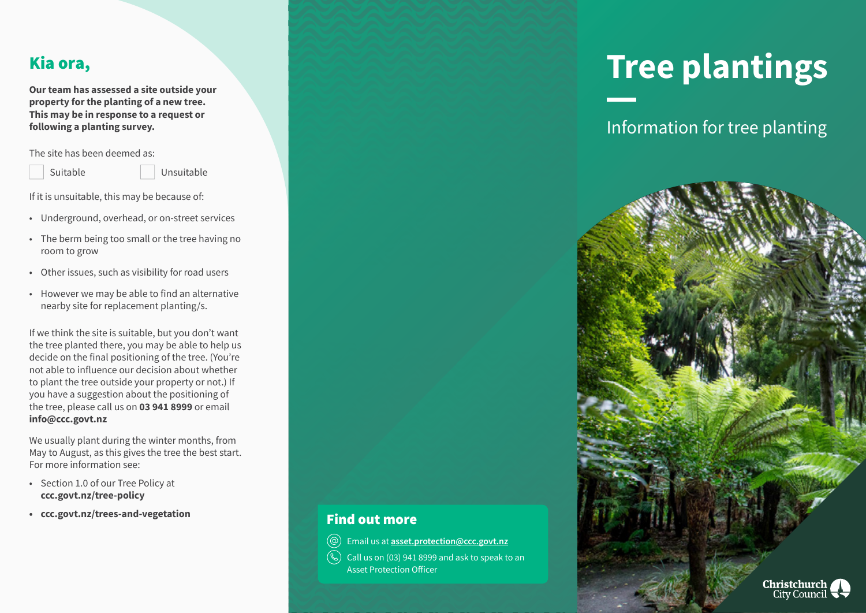## Kia ora,

**Our team has assessed a site outside your property for the planting of a new tree. This may be in response to a request or following a planting survey.** 

The site has been deemed as:

Suitable Unsuitable

If it is unsuitable, this may be because of:

- Underground, overhead, or on-street services
- The berm being too small or the tree having no room to grow
- Other issues, such as visibility for road users
- However we may be able to find an alternative nearby site for replacement planting/s.

If we think the site is suitable, but you don't want the tree planted there, you may be able to help us decide on the final positioning of the tree. (You're not able to influence our decision about whether to plant the tree outside your property or not.) If you have a suggestion about the positioning of the tree, please call us on **03 941 8999** or email **info@ccc.govt.nz** 

We usually plant during the winter months, from May to August, as this gives the tree the best start. For more information see:

- Section 1.0 of our Tree Policy at **ccc.govt.nz/tree-policy**
- **• ccc.govt.nz/trees-and-vegetation**

# **Tree plantings**

Information for tree planting



### Find out more

Email us at **asset.protection@ccc.govt.nz**  $\circledcirc$ 

Call us on (03) 941 8999 and ask to speak to an  $(\mathbb{Q})$ Asset Protection Officer